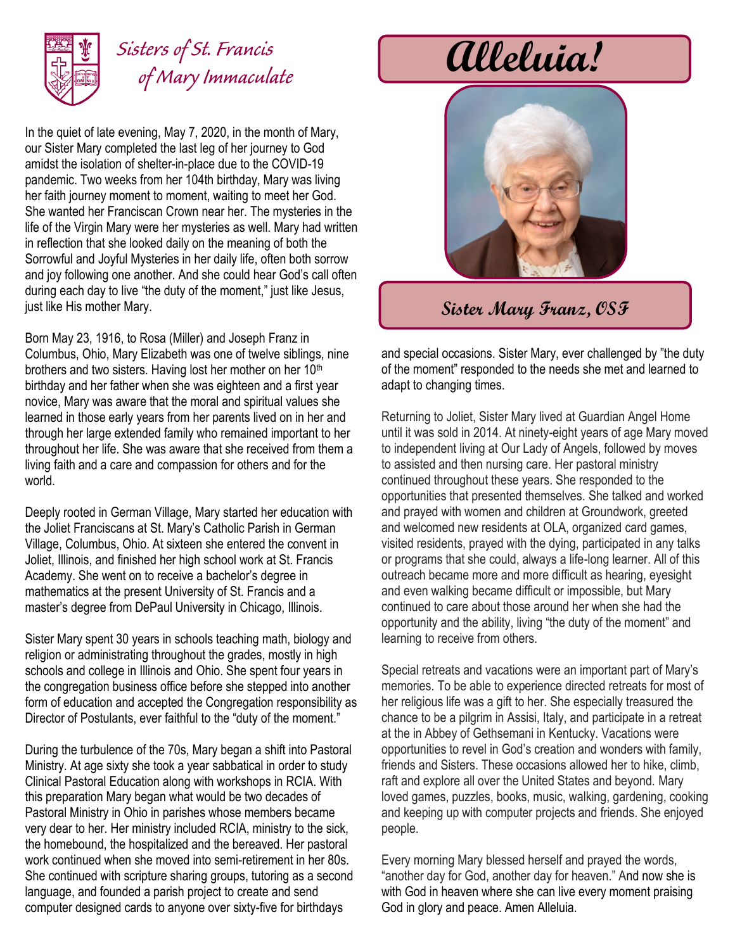

## *Sisters of St. Francis of Mary Immaculate*

In the quiet of late evening, May 7, 2020, in the month of Mary, our Sister Mary completed the last leg of her journey to God amidst the isolation of shelter-in-place due to the COVID-19 pandemic. Two weeks from her 104th birthday, Mary was living her faith journey moment to moment, waiting to meet her God. She wanted her Franciscan Crown near her. The mysteries in the life of the Virgin Mary were her mysteries as well. Mary had written in reflection that she looked daily on the meaning of both the Sorrowful and Joyful Mysteries in her daily life, often both sorrow and joy following one another. And she could hear God's call often during each day to live "the duty of the moment," just like Jesus, just like His mother Mary.

Born May 23, 1916, to Rosa (Miller) and Joseph Franz in Columbus, Ohio, Mary Elizabeth was one of twelve siblings, nine brothers and two sisters. Having lost her mother on her 10<sup>th</sup> birthday and her father when she was eighteen and a first year novice, Mary was aware that the moral and spiritual values she learned in those early years from her parents lived on in her and through her large extended family who remained important to her throughout her life. She was aware that she received from them a living faith and a care and compassion for others and for the world.

Deeply rooted in German Village, Mary started her education with the Joliet Franciscans at St. Mary's Catholic Parish in German Village, Columbus, Ohio. At sixteen she entered the convent in Joliet, Illinois, and finished her high school work at St. Francis Academy. She went on to receive a bachelor's degree in mathematics at the present University of St. Francis and a master's degree from DePaul University in Chicago, Illinois.

Sister Mary spent 30 years in schools teaching math, biology and religion or administrating throughout the grades, mostly in high schools and college in Illinois and Ohio. She spent four years in the congregation business office before she stepped into another form of education and accepted the Congregation responsibility as Director of Postulants, ever faithful to the "duty of the moment."

During the turbulence of the 70s, Mary began a shift into Pastoral Ministry. At age sixty she took a year sabbatical in order to study Clinical Pastoral Education along with workshops in RCIA. With this preparation Mary began what would be two decades of Pastoral Ministry in Ohio in parishes whose members became very dear to her. Her ministry included RCIA, ministry to the sick, the homebound, the hospitalized and the bereaved. Her pastoral work continued when she moved into semi-retirement in her 80s. She continued with scripture sharing groups, tutoring as a second language, and founded a parish project to create and send computer designed cards to anyone over sixty-five for birthdays

**Alleluia!**



## **Sister Mary Franz, OSF**

and special occasions. Sister Mary, ever challenged by "the duty of the moment" responded to the needs she met and learned to adapt to changing times.

Returning to Joliet, Sister Mary lived at Guardian Angel Home until it was sold in 2014. At ninety-eight years of age Mary moved to independent living at Our Lady of Angels, followed by moves to assisted and then nursing care. Her pastoral ministry continued throughout these years. She responded to the opportunities that presented themselves. She talked and worked and prayed with women and children at Groundwork, greeted and welcomed new residents at OLA, organized card games, visited residents, prayed with the dying, participated in any talks or programs that she could, always a life-long learner. All of this outreach became more and more difficult as hearing, eyesight and even walking became difficult or impossible, but Mary continued to care about those around her when she had the opportunity and the ability, living "the duty of the moment" and learning to receive from others.

Special retreats and vacations were an important part of Mary's memories. To be able to experience directed retreats for most of her religious life was a gift to her. She especially treasured the chance to be a pilgrim in Assisi, Italy, and participate in a retreat at the in Abbey of Gethsemani in Kentucky. Vacations were opportunities to revel in God's creation and wonders with family, friends and Sisters. These occasions allowed her to hike, climb, raft and explore all over the United States and beyond. Mary loved games, puzzles, books, music, walking, gardening, cooking and keeping up with computer projects and friends. She enjoyed people.

Every morning Mary blessed herself and prayed the words, "another day for God, another day for heaven." And now she is with God in heaven where she can live every moment praising God in glory and peace. Amen Alleluia.